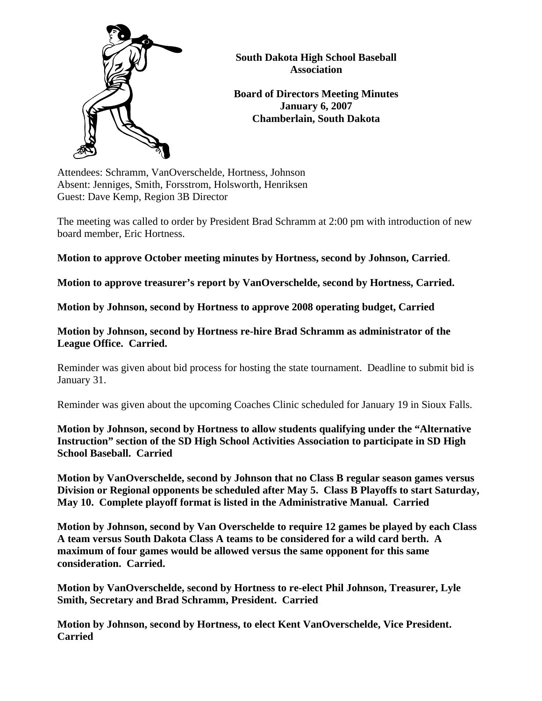

**South Dakota High School Baseball Association** 

**Board of Directors Meeting Minutes January 6, 2007 Chamberlain, South Dakota** 

Attendees: Schramm, VanOverschelde, Hortness, Johnson Absent: Jenniges, Smith, Forsstrom, Holsworth, Henriksen Guest: Dave Kemp, Region 3B Director

The meeting was called to order by President Brad Schramm at 2:00 pm with introduction of new board member, Eric Hortness.

**Motion to approve October meeting minutes by Hortness, second by Johnson, Carried**.

**Motion to approve treasurer's report by VanOverschelde, second by Hortness, Carried.** 

**Motion by Johnson, second by Hortness to approve 2008 operating budget, Carried** 

**Motion by Johnson, second by Hortness re-hire Brad Schramm as administrator of the League Office. Carried.** 

Reminder was given about bid process for hosting the state tournament. Deadline to submit bid is January 31.

Reminder was given about the upcoming Coaches Clinic scheduled for January 19 in Sioux Falls.

**Motion by Johnson, second by Hortness to allow students qualifying under the "Alternative Instruction" section of the SD High School Activities Association to participate in SD High School Baseball. Carried** 

**Motion by VanOverschelde, second by Johnson that no Class B regular season games versus Division or Regional opponents be scheduled after May 5. Class B Playoffs to start Saturday, May 10. Complete playoff format is listed in the Administrative Manual. Carried** 

**Motion by Johnson, second by Van Overschelde to require 12 games be played by each Class A team versus South Dakota Class A teams to be considered for a wild card berth. A maximum of four games would be allowed versus the same opponent for this same consideration. Carried.** 

**Motion by VanOverschelde, second by Hortness to re-elect Phil Johnson, Treasurer, Lyle Smith, Secretary and Brad Schramm, President. Carried** 

**Motion by Johnson, second by Hortness, to elect Kent VanOverschelde, Vice President. Carried**